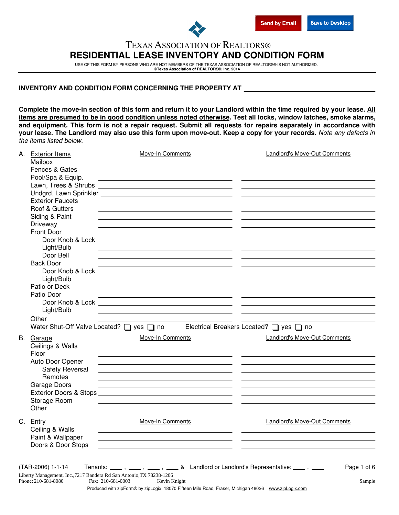

## TEXAS ASSOCIATION OF REALTORS® **RESIDENTIAL LEASE INVENTORY AND CONDITION FORM**

USE OF THIS FORM BY PERSONS WHO ARE NOT MEMBERS OF THE TEXAS ASSOCIATION OF REALTORS® IS NOT AUTHORIZED. **©Texas Association of REALTORS®, Inc. 2014**

## **INVENTORY AND CONDITION FORM CONCERNING THE PROPERTY AT**

**Complete the move-in section of this form and return it to your Landlord within the time required by your lease. All items are presumed to be in good condition unless noted otherwise. Test all locks, window latches, smoke alarms, and equipment. This form is not a repair request. Submit all requests for repairs separately in accordance with your lease. The Landlord may also use this form upon move-out. Keep a copy for your records.** *Note any defects in the items listed below.*

| А. | <b>Exterior Items</b>   | Move-In Comments                                                                                                       | <b>Landlord's Move-Out Comments</b>     |
|----|-------------------------|------------------------------------------------------------------------------------------------------------------------|-----------------------------------------|
|    | Mailbox                 |                                                                                                                        |                                         |
|    | Fences & Gates          |                                                                                                                        |                                         |
|    | Pool/Spa & Equip.       |                                                                                                                        |                                         |
|    | Lawn, Trees & Shrubs    | <u> 1989 - Johann Harry Harry Harry Harry Harry Harry Harry Harry Harry Harry Harry Harry Harry Harry Harry Harry</u>  |                                         |
|    |                         |                                                                                                                        |                                         |
|    | <b>Exterior Faucets</b> | the control of the control of the control of the control of the control of the control of                              |                                         |
|    | Roof & Gutters          |                                                                                                                        |                                         |
|    | Siding & Paint          |                                                                                                                        |                                         |
|    | Driveway                |                                                                                                                        |                                         |
|    | <b>Front Door</b>       |                                                                                                                        |                                         |
|    | Door Knob & Lock        | <u> 1989 - Johann Harry Harry Harry Harry Harry Harry Harry Harry Harry Harry Harry Harry Harry Harry Harry Harry</u>  |                                         |
|    | Light/Bulb              | <u> 1989 - Johann Barn, mars ann an t-Amhain ann an t-Amhain an t-Amhain an t-Amhain an t-Amhain an t-Amhain an t-</u> |                                         |
|    | Door Bell               |                                                                                                                        |                                         |
|    | <b>Back Door</b>        | the control of the control of the control of the control of the control of the control of                              |                                         |
|    | Door Knob & Lock        |                                                                                                                        |                                         |
|    | Light/Bulb              | the control of the control of the control of the control of the control of                                             |                                         |
|    | Patio or Deck           |                                                                                                                        |                                         |
|    | Patio Door              |                                                                                                                        |                                         |
|    |                         |                                                                                                                        |                                         |
|    | Light/Bulb              | <u> 1989 - Johann Stoff, deutscher Stoff, der Stoff, der Stoff, der Stoff, der Stoff, der Stoff, der Stoff, der S</u>  |                                         |
|    | Other                   |                                                                                                                        |                                         |
|    |                         | Water Shut-Off Valve Located? U yes U no                                                                               | Electrical Breakers Located? □ yes □ no |
|    |                         |                                                                                                                        |                                         |
|    | B. Garage               | Move-In Comments                                                                                                       | Landlord's Move-Out Comments            |
|    | Ceilings & Walls        |                                                                                                                        |                                         |
|    | Floor                   |                                                                                                                        |                                         |
|    | Auto Door Opener        |                                                                                                                        |                                         |
|    | Safety Reversal         |                                                                                                                        |                                         |
|    | Remotes                 |                                                                                                                        |                                         |
|    | Garage Doors            |                                                                                                                        |                                         |
|    |                         |                                                                                                                        |                                         |
|    | Storage Room            |                                                                                                                        |                                         |
|    | Other                   |                                                                                                                        |                                         |
|    | C. Entry                | Move-In Comments                                                                                                       | <b>Landlord's Move-Out Comments</b>     |
|    | Ceiling & Walls         |                                                                                                                        |                                         |
|    | Paint & Wallpaper       |                                                                                                                        |                                         |
|    | Doors & Door Stops      | <u> 1989 - Johann Barn, fransk politik (f. 1989)</u>                                                                   |                                         |
|    |                         | <u> 1989 - Johann Stoff, Amerikaansk politiker († 1908)</u>                                                            |                                         |
|    |                         |                                                                                                                        |                                         |
|    | (TAR-2006) 1-1-14       | Tenants: ____, ___, ___, ____ & Landlord or Landlord's Representative: ___, ___                                        | Page 1 of 6                             |
|    |                         | Liberty Management, Inc., 7217 Bandera Rd San Antonio, TX 78238-1206                                                   |                                         |
|    | Phone: 210-681-8080     | Fax: 210-681-0003<br>Kevin Knight                                                                                      | Sample                                  |
|    |                         | Produced with zipForm® by zipLogix 18070 Fifteen Mile Road, Fraser, Michigan 48026 www.zipLogix.com                    |                                         |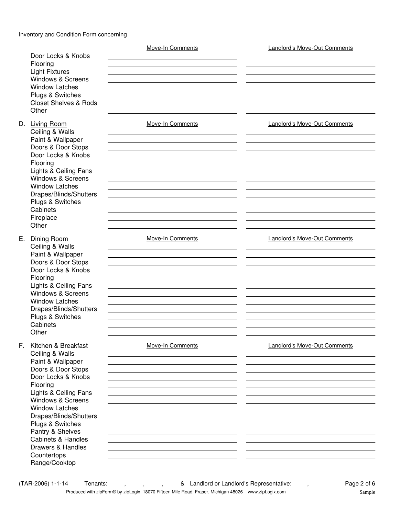Door Locks & Knobs Light Fixtures Flooring Windows & Screens Window Latches Plugs & Switches Closet Shelves & Rods **Other** D. Living Room Ceiling & Walls Paint & Wallpaper Doors & Door Stops Door Locks & Knobs Flooring Lights & Ceiling Fans Windows & Screens Window Latches Drapes/Blinds/Shutters Move-In Comments Landlord's Move-Out Comments Plugs & Switches **Cabinets** Fireplace **Other** E. Dining Room Ceiling & Walls Paint & Wallpaper Doors & Door Stops Door Locks & Knobs Flooring Lights & Ceiling Fans Windows & Screens Window Latches Drapes/Blinds/Shutters Plugs & Switches **Cabinets Other** F. Kitchen & Breakfast Ceiling & Walls Paint & Wallpaper Doors & Door Stops Door Locks & Knobs Flooring Lights & Ceiling Fans Windows & Screens Window Latches Drapes/Blinds/Shutters Plugs & Switches Pantry & Shelves Cabinets & Handles Move-In Comments Landlord's Move-Out Comments Move-In Comments Landlord's Move-Out Comments Move-In Comments Landlord's Move-Out Comments Drawers & Handles **Countertops** Range/Cooktop

 $(TAR-2006)$  1-1-14 Tenants:  $\frac{1}{1}$ ,  $\frac{1}{1}$ ,  $\frac{1}{1}$ ,  $\frac{1}{1}$ ,  $\frac{1}{1}$  & Landlord or Landlord's Representative:  $\frac{1}{1}$ Produced with zipForm® by zipLogix 18070 Fifteen Mile Road, Fraser, Michigan 48026 www.zipLogix.com Sample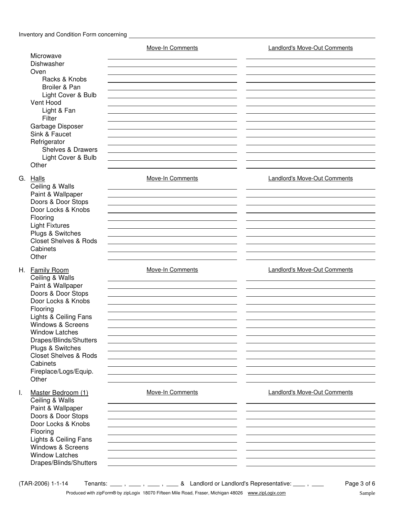## Inventory and Condition Form concerning

|                                                                                                                                                                                                                                                                                                                                  | Move-In Comments                                                                | <b>Landlord's Move-Out Comments</b> |
|----------------------------------------------------------------------------------------------------------------------------------------------------------------------------------------------------------------------------------------------------------------------------------------------------------------------------------|---------------------------------------------------------------------------------|-------------------------------------|
| Microwave<br>Dishwasher                                                                                                                                                                                                                                                                                                          |                                                                                 |                                     |
| Oven<br>Racks & Knobs<br>Broiler & Pan<br>Light Cover & Bulb<br>Vent Hood<br>Light & Fan<br>Filter<br>Garbage Disposer                                                                                                                                                                                                           |                                                                                 |                                     |
| Sink & Faucet<br>Refrigerator<br><b>Shelves &amp; Drawers</b><br>Light Cover & Bulb<br>Other                                                                                                                                                                                                                                     |                                                                                 |                                     |
| G.<br>Halls<br>Ceiling & Walls<br>Paint & Wallpaper<br>Doors & Door Stops<br>Door Locks & Knobs<br>Flooring<br><b>Light Fixtures</b><br>Plugs & Switches<br><b>Closet Shelves &amp; Rods</b><br>Cabinets<br>Other                                                                                                                | Move-In Comments                                                                | Landlord's Move-Out Comments        |
| H. Family Room<br>Ceiling & Walls<br>Paint & Wallpaper<br>Doors & Door Stops<br>Door Locks & Knobs<br>Flooring<br>Lights & Ceiling Fans<br><b>Windows &amp; Screens</b><br><b>Window Latches</b><br>Drapes/Blinds/Shutters<br>Plugs & Switches<br><b>Closet Shelves &amp; Rods</b><br>Cabinets<br>Fireplace/Logs/Equip.<br>Other | Move-In Comments                                                                | <b>Landlord's Move-Out Comments</b> |
| I.<br>Master Bedroom (1)<br>Ceiling & Walls<br>Paint & Wallpaper<br>Doors & Door Stops<br>Door Locks & Knobs<br>Flooring<br>Lights & Ceiling Fans<br><b>Windows &amp; Screens</b><br><b>Window Latches</b><br>Drapes/Blinds/Shutters                                                                                             | Move-In Comments                                                                | Landlord's Move-Out Comments        |
| (TAR-2006) 1-1-14                                                                                                                                                                                                                                                                                                                | Tenants: ____, ___, ___, ____ & Landlord or Landlord's Representative: ___, ___ | Page 3 of 6                         |

Produced with zipForm® by zipLogix 18070 Fifteen Mile Road, Fraser, Michigan 48026 www.zipLogix.com Sample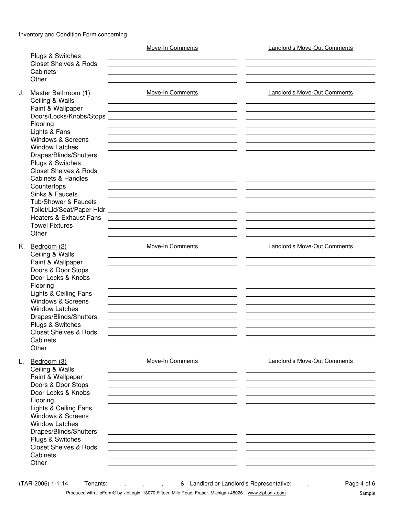|    |                                            | <b>Move-In Comments</b>                                                                                               | <b>Landlord's Move-Out Comments</b> |
|----|--------------------------------------------|-----------------------------------------------------------------------------------------------------------------------|-------------------------------------|
|    | <b>Plugs &amp; Switches</b>                |                                                                                                                       |                                     |
|    | <b>Closet Shelves &amp; Rods</b>           |                                                                                                                       |                                     |
|    | Cabinets                                   |                                                                                                                       |                                     |
|    | Other                                      |                                                                                                                       |                                     |
| J. | Master Bathroom (1)                        | <b>Move-In Comments</b>                                                                                               | <b>Landlord's Move-Out Comments</b> |
|    | Ceiling & Walls                            |                                                                                                                       |                                     |
|    | Paint & Wallpaper                          | <u> 1989 - Johann Barn, amerikansk politiker (d. 1989)</u>                                                            |                                     |
|    |                                            |                                                                                                                       |                                     |
|    | Flooring                                   |                                                                                                                       |                                     |
|    | Lights & Fans                              |                                                                                                                       |                                     |
|    | <b>Windows &amp; Screens</b>               |                                                                                                                       |                                     |
|    | <b>Window Latches</b>                      |                                                                                                                       |                                     |
|    | Drapes/Blinds/Shutters                     |                                                                                                                       |                                     |
|    | Plugs & Switches                           |                                                                                                                       |                                     |
|    | <b>Closet Shelves &amp; Rods</b>           |                                                                                                                       |                                     |
|    | <b>Cabinets &amp; Handles</b>              |                                                                                                                       |                                     |
|    | Countertops                                |                                                                                                                       |                                     |
|    | Sinks & Faucets                            |                                                                                                                       |                                     |
|    | Tub/Shower & Faucets                       | <u> 1989 - Johann Stoff, deutscher Stoff, der Stoff, der Stoff, der Stoff, der Stoff, der Stoff, der Stoff, der S</u> |                                     |
|    |                                            |                                                                                                                       |                                     |
|    | Heaters & Exhaust Fans                     |                                                                                                                       |                                     |
|    | <b>Towel Fixtures</b>                      |                                                                                                                       |                                     |
|    | Other                                      |                                                                                                                       |                                     |
|    | K. Bedroom $(2)$                           | Move-In Comments                                                                                                      | <b>Landlord's Move-Out Comments</b> |
|    | Ceiling & Walls                            |                                                                                                                       |                                     |
|    | Paint & Wallpaper                          |                                                                                                                       |                                     |
|    | Doors & Door Stops                         |                                                                                                                       |                                     |
|    | Door Locks & Knobs                         |                                                                                                                       |                                     |
|    | Flooring                                   |                                                                                                                       |                                     |
|    | Lights & Ceiling Fans                      |                                                                                                                       |                                     |
|    | <b>Windows &amp; Screens</b>               |                                                                                                                       |                                     |
|    | <b>Window Latches</b>                      |                                                                                                                       |                                     |
|    | Drapes/Blinds/Shutters                     |                                                                                                                       |                                     |
|    | Plugs & Switches                           |                                                                                                                       |                                     |
|    | <b>Closet Shelves &amp; Rods</b>           |                                                                                                                       |                                     |
|    | Cabinets<br>Other                          |                                                                                                                       |                                     |
|    |                                            |                                                                                                                       |                                     |
| L. | Bedroom (3)                                | Move-In Comments                                                                                                      | Landlord's Move-Out Comments        |
|    | Ceiling & Walls                            |                                                                                                                       |                                     |
|    | Paint & Wallpaper                          |                                                                                                                       |                                     |
|    | Doors & Door Stops                         |                                                                                                                       |                                     |
|    | Door Locks & Knobs                         |                                                                                                                       |                                     |
|    | Flooring                                   |                                                                                                                       |                                     |
|    | Lights & Ceiling Fans                      |                                                                                                                       |                                     |
|    | <b>Windows &amp; Screens</b>               |                                                                                                                       |                                     |
|    | <b>Window Latches</b>                      |                                                                                                                       |                                     |
|    | Drapes/Blinds/Shutters<br>Plugs & Switches |                                                                                                                       |                                     |
|    | <b>Closet Shelves &amp; Rods</b>           |                                                                                                                       |                                     |
|    | Cabinets                                   |                                                                                                                       |                                     |
|    | Other                                      |                                                                                                                       |                                     |
|    |                                            |                                                                                                                       |                                     |
|    | (TAR-2006) 1-1-14                          | Tenants: ____, ____, ____, & Landlord or Landlord's Representative: ____, ____                                        | Page 4 of 6                         |

Produced with zipForm® by zipLogix 18070 Fifteen Mile Road, Fraser, Michigan 48026 www.zipLogix.com Sample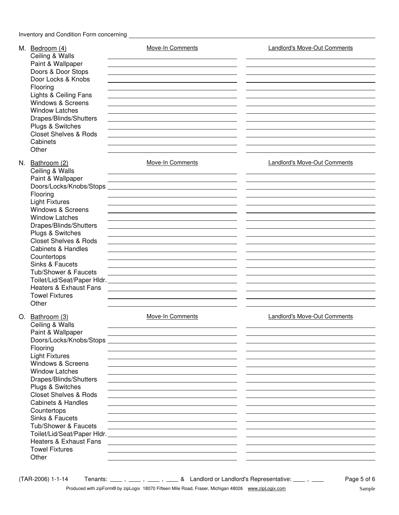Inventory and Condition Form concerning

| M. Bedroom (4)<br>Ceiling & Walls<br>Paint & Wallpaper<br>Doors & Door Stops<br>Door Locks & Knobs<br>Flooring<br>Lights & Ceiling Fans<br><b>Windows &amp; Screens</b><br><b>Window Latches</b><br>Drapes/Blinds/Shutters<br>Plugs & Switches<br><b>Closet Shelves &amp; Rods</b><br>Cabinets                                                                                                                                     | <b>Move-In Comments</b><br><u> 1989 - Johann Stein, mars an deus Amerikaansk kommunister (* 1958)</u>                                                                                                                                                                                                                                                                                                                                                                                           | <b>Landlord's Move-Out Comments</b> |
|------------------------------------------------------------------------------------------------------------------------------------------------------------------------------------------------------------------------------------------------------------------------------------------------------------------------------------------------------------------------------------------------------------------------------------|-------------------------------------------------------------------------------------------------------------------------------------------------------------------------------------------------------------------------------------------------------------------------------------------------------------------------------------------------------------------------------------------------------------------------------------------------------------------------------------------------|-------------------------------------|
| Other<br>N. Bathroom (2)<br>Ceiling & Walls<br>Paint & Wallpaper<br>Doors/Locks/Knobs/Stops<br>Flooring<br><b>Light Fixtures</b><br>Windows & Screens<br><b>Window Latches</b><br>Drapes/Blinds/Shutters<br>Plugs & Switches<br><b>Closet Shelves &amp; Rods</b><br><b>Cabinets &amp; Handles</b><br>Countertops<br>Sinks & Faucets<br>Tub/Shower & Faucets<br><b>Heaters &amp; Exhaust Fans</b><br><b>Towel Fixtures</b><br>Other | <b>Move-In Comments</b><br><u> 1989 - Johann John Stone, markin fizikar (h. 1989).</u><br><u> 1989 - Johann Stein, mars an deus Amerikaansk kommunister (</u><br><u> 1989 - Johann Stoff, deutscher Stoff, der Stoff, der Stoff, der Stoff, der Stoff, der Stoff, der Stoff, der S</u><br><u> 1989 - Jan Sterlinger, skriuwer fan it ferstjer fan de fan it ferstjer fan it ferstjer fan it ferstjer fan it</u>                                                                                 | <b>Landlord's Move-Out Comments</b> |
| O. Bathroom (3)<br>Ceiling & Walls<br>Paint & Wallpaper<br>Doors/Locks/Knobs/Stops<br>Flooring<br><b>Light Fixtures</b><br>Windows & Screens<br><b>Window Latches</b><br>Drapes/Blinds/Shutters<br>Plugs & Switches<br><b>Closet Shelves &amp; Rods</b><br><b>Cabinets &amp; Handles</b><br>Countertops<br>Sinks & Faucets<br>Tub/Shower & Faucets<br><b>Heaters &amp; Exhaust Fans</b><br><b>Towel Fixtures</b><br>Other          | <b>Move-In Comments</b><br><u> 1980 - Andrea Aonaichte, ann an t-Èireann an t-Èireann an t-Èireann an t-Èireann an t-Èireann an t-Èireann an </u><br><u> 1989 - Johann Stein, mars an deus an deus Amerikaanse komme van de Fryske komme</u><br><u> 1989 - Johann Stein, marwolaethau (b. 1989)</u><br><u> 1989 - Johann Barbara, martxa alemaniar argumento de la contrada de la contrada de la contrada de la contrad</u><br><u> 1989 - Johann John Stone, Amerikaansk politiker († 1908)</u> | <b>Landlord's Move-Out Comments</b> |

 $(TAR-2006)$  1-1-14 Tenants:  $\frac{1}{1}$ ,  $\frac{1}{1}$ ,  $\frac{1}{1}$ ,  $\frac{1}{1}$ ,  $\frac{1}{1}$ ,  $\frac{1}{1}$ ,  $\frac{1}{1}$ ,  $\frac{1}{1}$ ,  $\frac{1}{1}$ ,  $\frac{1}{1}$